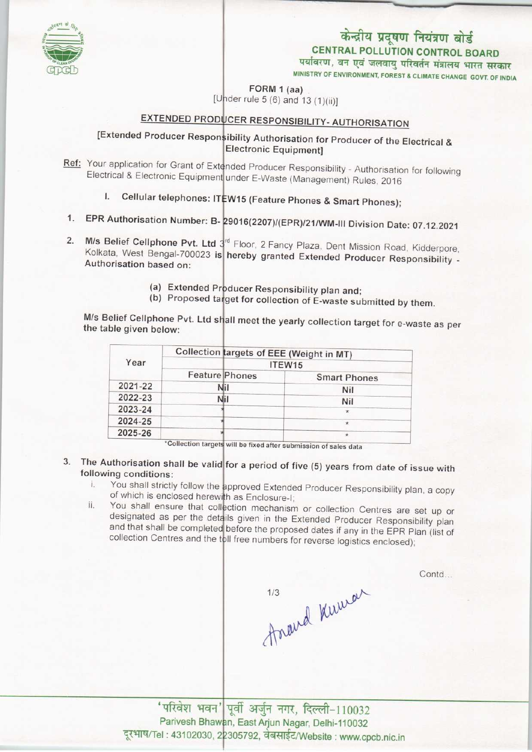# केन्द्रीय प्रदूषण नियंत्रण बोर्ड CENTRAL POLLUTION CONTROL BOARD पर्यावरण, वन एवं जलवायु परिवर्तन मंत्रालय भारत सरकार

MINISTRY OF ENVIRONMENT, FOREST & CLIMATE CHANGE GOVT. OF INDIA

FORM 1 (aa)

r rule 5 (6) and 13 (1)(ii)]

## EXTENDED PRODUCER RESPONSIBILITY- AUTHORISATION

## [Extended Producer Responsibility Authorisation for Producer of the Electrical & **Electronic Equipment]**

- Ref: Your application for Grant of Extended Producer Responsibility Authorisation for following Electrical & Electronic Equipment under E-Waste (Management) Rules, 2016
	- l. Cellular telephones: ITEW15 (Feature Phones & Smart Phones);
- 1. EPR Authorisation Number: B- 29016(2207)/(EPR)/21/WM-III Division Date: 07.12.2021
- 2. M/s Belief Cellphone Pvt. Ltd  $3^{rd}$  Floor, 2 Fancy Plaza, Dent Mission Road, Kidderpore Kolkata, West Bengal-700023 is hereby granted Extended Producer Responsibility -Authorisation based on:
	- (a) Extended Producer Responsibility plan and
	- (b) Proposed target for collection of E-waste submitted by them.

M/s Belief Cellphone Pvt. Ltd shall meet the yearly collection target for e-waste as per the table given below:

| Year    | Collection targets of EEE (Weight in MT)<br>ITEW15 |         |
|---------|----------------------------------------------------|---------|
|         |                                                    |         |
|         | 2021-22                                            | Nil     |
| 2022-23 | Nil                                                | Nil     |
| 2023-24 |                                                    | $\star$ |
| 2024-25 |                                                    | $\star$ |
| 2025-26 |                                                    | $\star$ |

\*Collection targets will be fixed after submission of sales data

- 3. The Authorisation shall be valid for a period of five (5) years from date of issue with following conditions:
	- i. You shall strictly follow the approved Extended Producer Responsibility plan, a copy of which is enclosed herewith as Enclosure-I
	- ii. You shall ensure that collection mechanism or collection Centres are set up or designated as per the details given in the Extended Producer Responsibility planet and that shall be completed before the proposed dates if any in the EPR Plan (list of collection Centres and the toll free numbers for reverse logistics enclosed);

Contd...

travel Kurran

'परिवेश भवन' पूर्वी अर्जुन नगर, दिल्ली-110032 Parivesh Bhawan, East Arjun Nagar, Delhi-110032 ranvesh Bhawan, East Arjun Nagar, Deihi-110032<br>दूरभाष/Tel : 43102030, 22305792, वेबसाईट/Website : www.cpcb.nic.in

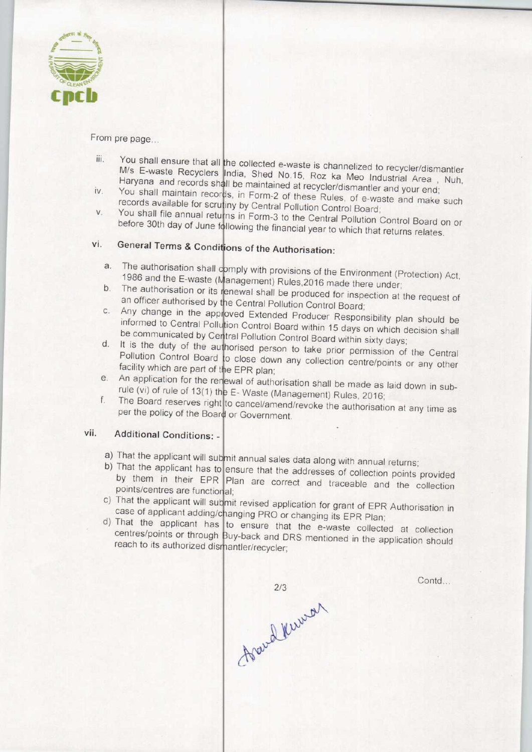

From pre page...

- iii. You shall ensure that all the collected e-waste is channelized to recycler/dismantler M/s E-waste Recyclers India, Shed No.15, Roz ka Meo Industrial Area, Nuh, Haryana and records shall be maintained at recycler/dismantler and your end;<br>iv. You shall maintain records, in Form-2 of these Rules, of e-waste and your end;
- You shall maintain records, in Form-2 of these Rules, of e-waste and make such records available for scrutiny by Central Pollution Control Board;
- v. You shall file annual returns in Form-3 to the Central Pollution Control Board on or before 30th day of June following the financial year to which that returns relates.

# vi. General Terms & Conditions of the Authorisation:

- a. The authorisation shall comply with provisions of the Environment (Protection) Act, 1986 and the E-waste (Management) Rules, 2016 made there under<br>b. The authorisation or its renewal shall be produced for inspection at
- b. The authorisation or its renewal shall be produced for inspection at the request of an officer authorised by the Central Pollution Control Board an officer authorised by the Central Pollution Control Board;<br>
c. Any change in the approved Extended Producer Responsibility plan should be
- informed to Central Pollution Control Board within 15 days on which decision shall be communicated by Central Pollution Control Board within sixty days<br>d. It is the duty of the authorised person to take prior permission of
- d. It is the duty of the authorised person to take prior permission of the Central Pollution Control Board to close down any collection centre/points or any other facility which are part of the EPR plan; facility which are part of the EPR plan;<br>e. An application for the renewal of authorisation shall be made as laid down in sub-
- F. Waste (Management) Rules, 2016<br>rule (vi) of rule of 13(1) the E- Waste (Management) Rules, 2016<br>f. The Board reserves right to cancel/amend/revoke the authorisation
- The Board reserves right to cancel/amend/revoke the authorisation at any time as per the policy of the Board or Government.

### vii. Additional Conditions: -

- a) That the applicant will submit annual sales data along with annual returns
- b) That the applicant will subjite allridal sales data along with annual returns;<br>b) That the applicant has to ensure that the addresses of collection points provided by them in their EPR Plan are correct and traceable and the collection points/centres are functional;
- c) That the applicant will submit revised application for grant of EPR Authorisation in case of applicant adding/changing PRO or changing its EPR Plan
- d) That the applicant has to ensure that the e-waste collected at collection centres/points or through Buy-back and DRS mentioned in the application should reach to its authorized dismantler/recycler;

Contd...

Nousel Kernson  $2/3$